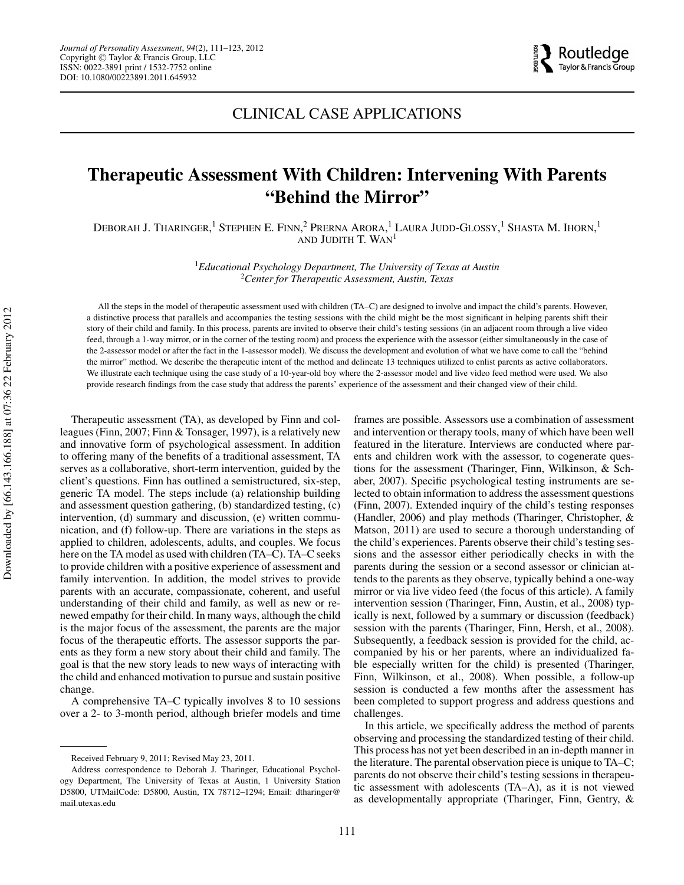

# CLINICAL CASE APPLICATIONS

# **Therapeutic Assessment With Children: Intervening With Parents "Behind the Mirror"**

Deborah J. Tharinger, $^1$  Stephen E. Finn, $^2$  Prerna Arora, $^1$  Laura Judd-Glossy, $^1$  Shasta M. Ihorn, $^1$ AND JUDITH T. WAN<sup>1</sup>

> 1 *Educational Psychology Department, The University of Texas at Austin* 2 *Center for Therapeutic Assessment, Austin, Texas*

All the steps in the model of therapeutic assessment used with children (TA–C) are designed to involve and impact the child's parents. However, a distinctive process that parallels and accompanies the testing sessions with the child might be the most significant in helping parents shift their story of their child and family. In this process, parents are invited to observe their child's testing sessions (in an adjacent room through a live video feed, through a 1-way mirror, or in the corner of the testing room) and process the experience with the assessor (either simultaneously in the case of the 2-assessor model or after the fact in the 1-assessor model). We discuss the development and evolution of what we have come to call the "behind the mirror" method. We describe the therapeutic intent of the method and delineate 13 techniques utilized to enlist parents as active collaborators. We illustrate each technique using the case study of a 10-year-old boy where the 2-assessor model and live video feed method were used. We also provide research findings from the case study that address the parents' experience of the assessment and their changed view of their child.

Therapeutic assessment (TA), as developed by Finn and colleagues (Finn, 2007; Finn & Tonsager, 1997), is a relatively new and innovative form of psychological assessment. In addition to offering many of the benefits of a traditional assessment, TA serves as a collaborative, short-term intervention, guided by the client's questions. Finn has outlined a semistructured, six-step, generic TA model. The steps include (a) relationship building and assessment question gathering, (b) standardized testing, (c) intervention, (d) summary and discussion, (e) written communication, and (f) follow-up. There are variations in the steps as applied to children, adolescents, adults, and couples. We focus here on the TA model as used with children (TA–C). TA–C seeks to provide children with a positive experience of assessment and family intervention. In addition, the model strives to provide parents with an accurate, compassionate, coherent, and useful understanding of their child and family, as well as new or renewed empathy for their child. In many ways, although the child is the major focus of the assessment, the parents are the major focus of the therapeutic efforts. The assessor supports the parents as they form a new story about their child and family. The goal is that the new story leads to new ways of interacting with the child and enhanced motivation to pursue and sustain positive change.

A comprehensive TA–C typically involves 8 to 10 sessions over a 2- to 3-month period, although briefer models and time frames are possible. Assessors use a combination of assessment and intervention or therapy tools, many of which have been well featured in the literature. Interviews are conducted where parents and children work with the assessor, to cogenerate questions for the assessment (Tharinger, Finn, Wilkinson, & Schaber, 2007). Specific psychological testing instruments are selected to obtain information to address the assessment questions (Finn, 2007). Extended inquiry of the child's testing responses (Handler, 2006) and play methods (Tharinger, Christopher, & Matson, 2011) are used to secure a thorough understanding of the child's experiences. Parents observe their child's testing sessions and the assessor either periodically checks in with the parents during the session or a second assessor or clinician attends to the parents as they observe, typically behind a one-way mirror or via live video feed (the focus of this article). A family intervention session (Tharinger, Finn, Austin, et al., 2008) typically is next, followed by a summary or discussion (feedback) session with the parents (Tharinger, Finn, Hersh, et al., 2008). Subsequently, a feedback session is provided for the child, accompanied by his or her parents, where an individualized fable especially written for the child) is presented (Tharinger, Finn, Wilkinson, et al., 2008). When possible, a follow-up session is conducted a few months after the assessment has been completed to support progress and address questions and challenges.

In this article, we specifically address the method of parents observing and processing the standardized testing of their child. This process has not yet been described in an in-depth manner in the literature. The parental observation piece is unique to TA–C; parents do not observe their child's testing sessions in therapeutic assessment with adolescents (TA–A), as it is not viewed as developmentally appropriate (Tharinger, Finn, Gentry, &

Received February 9, 2011; Revised May 23, 2011.

Address correspondence to Deborah J. Tharinger, Educational Psychology Department, The University of Texas at Austin, 1 University Station D5800, UTMailCode: D5800, Austin, TX 78712–1294; Email: dtharinger@ mail.utexas.edu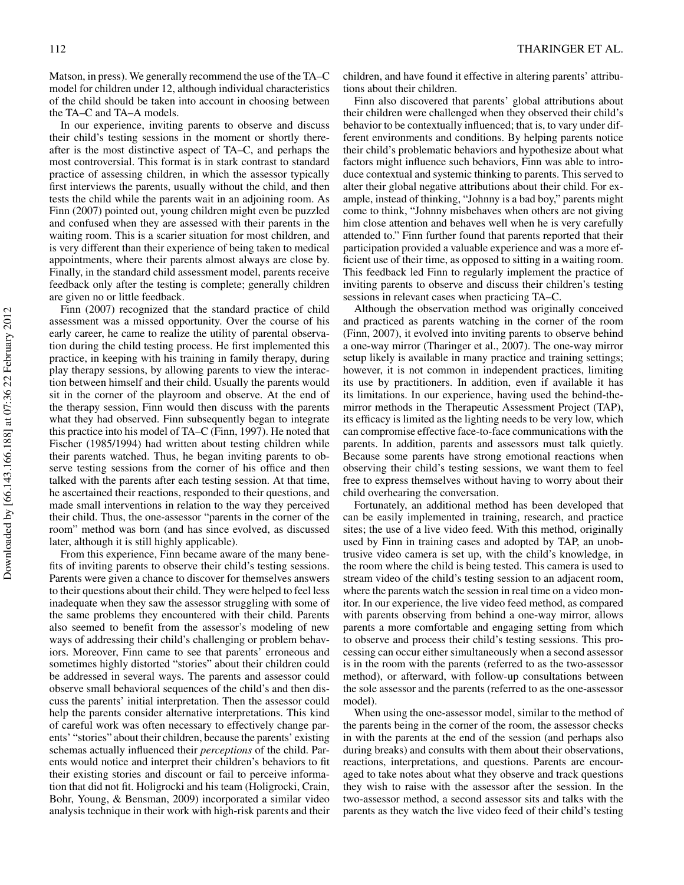Matson, in press). We generally recommend the use of the TA–C model for children under 12, although individual characteristics of the child should be taken into account in choosing between the TA–C and TA–A models.

In our experience, inviting parents to observe and discuss their child's testing sessions in the moment or shortly thereafter is the most distinctive aspect of TA–C, and perhaps the most controversial. This format is in stark contrast to standard practice of assessing children, in which the assessor typically first interviews the parents, usually without the child, and then tests the child while the parents wait in an adjoining room. As Finn (2007) pointed out, young children might even be puzzled and confused when they are assessed with their parents in the waiting room. This is a scarier situation for most children, and is very different than their experience of being taken to medical appointments, where their parents almost always are close by. Finally, in the standard child assessment model, parents receive feedback only after the testing is complete; generally children are given no or little feedback.

Finn (2007) recognized that the standard practice of child assessment was a missed opportunity. Over the course of his early career, he came to realize the utility of parental observation during the child testing process. He first implemented this practice, in keeping with his training in family therapy, during play therapy sessions, by allowing parents to view the interaction between himself and their child. Usually the parents would sit in the corner of the playroom and observe. At the end of the therapy session, Finn would then discuss with the parents what they had observed. Finn subsequently began to integrate this practice into his model of TA–C (Finn, 1997). He noted that Fischer (1985/1994) had written about testing children while their parents watched. Thus, he began inviting parents to observe testing sessions from the corner of his office and then talked with the parents after each testing session. At that time, he ascertained their reactions, responded to their questions, and made small interventions in relation to the way they perceived their child. Thus, the one-assessor "parents in the corner of the room" method was born (and has since evolved, as discussed later, although it is still highly applicable).

From this experience, Finn became aware of the many benefits of inviting parents to observe their child's testing sessions. Parents were given a chance to discover for themselves answers to their questions about their child. They were helped to feel less inadequate when they saw the assessor struggling with some of the same problems they encountered with their child. Parents also seemed to benefit from the assessor's modeling of new ways of addressing their child's challenging or problem behaviors. Moreover, Finn came to see that parents' erroneous and sometimes highly distorted "stories" about their children could be addressed in several ways. The parents and assessor could observe small behavioral sequences of the child's and then discuss the parents' initial interpretation. Then the assessor could help the parents consider alternative interpretations. This kind of careful work was often necessary to effectively change parents' "stories" about their children, because the parents' existing schemas actually influenced their *perceptions* of the child. Parents would notice and interpret their children's behaviors to fit their existing stories and discount or fail to perceive information that did not fit. Holigrocki and his team (Holigrocki, Crain, Bohr, Young, & Bensman, 2009) incorporated a similar video analysis technique in their work with high-risk parents and their children, and have found it effective in altering parents' attributions about their children.

Finn also discovered that parents' global attributions about their children were challenged when they observed their child's behavior to be contextually influenced; that is, to vary under different environments and conditions. By helping parents notice their child's problematic behaviors and hypothesize about what factors might influence such behaviors, Finn was able to introduce contextual and systemic thinking to parents. This served to alter their global negative attributions about their child. For example, instead of thinking, "Johnny is a bad boy," parents might come to think, "Johnny misbehaves when others are not giving him close attention and behaves well when he is very carefully attended to." Finn further found that parents reported that their participation provided a valuable experience and was a more efficient use of their time, as opposed to sitting in a waiting room. This feedback led Finn to regularly implement the practice of inviting parents to observe and discuss their children's testing sessions in relevant cases when practicing TA–C.

Although the observation method was originally conceived and practiced as parents watching in the corner of the room (Finn, 2007), it evolved into inviting parents to observe behind a one-way mirror (Tharinger et al., 2007). The one-way mirror setup likely is available in many practice and training settings; however, it is not common in independent practices, limiting its use by practitioners. In addition, even if available it has its limitations. In our experience, having used the behind-themirror methods in the Therapeutic Assessment Project (TAP), its efficacy is limited as the lighting needs to be very low, which can compromise effective face-to-face communications with the parents. In addition, parents and assessors must talk quietly. Because some parents have strong emotional reactions when observing their child's testing sessions, we want them to feel free to express themselves without having to worry about their child overhearing the conversation.

Fortunately, an additional method has been developed that can be easily implemented in training, research, and practice sites; the use of a live video feed. With this method, originally used by Finn in training cases and adopted by TAP, an unobtrusive video camera is set up, with the child's knowledge, in the room where the child is being tested. This camera is used to stream video of the child's testing session to an adjacent room, where the parents watch the session in real time on a video monitor. In our experience, the live video feed method, as compared with parents observing from behind a one-way mirror, allows parents a more comfortable and engaging setting from which to observe and process their child's testing sessions. This processing can occur either simultaneously when a second assessor is in the room with the parents (referred to as the two-assessor method), or afterward, with follow-up consultations between the sole assessor and the parents (referred to as the one-assessor model).

When using the one-assessor model, similar to the method of the parents being in the corner of the room, the assessor checks in with the parents at the end of the session (and perhaps also during breaks) and consults with them about their observations, reactions, interpretations, and questions. Parents are encouraged to take notes about what they observe and track questions they wish to raise with the assessor after the session. In the two-assessor method, a second assessor sits and talks with the parents as they watch the live video feed of their child's testing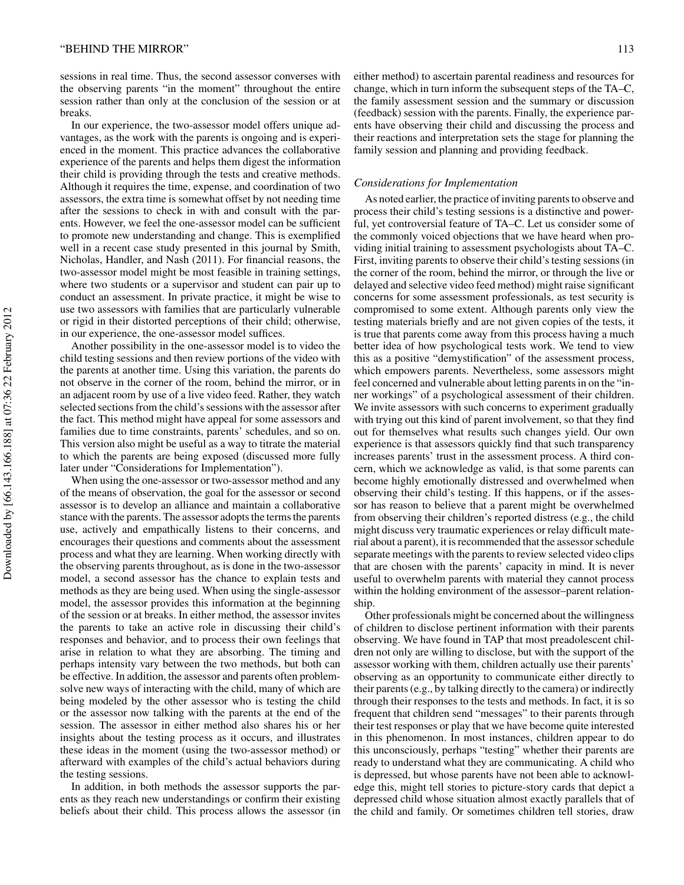sessions in real time. Thus, the second assessor converses with the observing parents "in the moment" throughout the entire session rather than only at the conclusion of the session or at breaks.

In our experience, the two-assessor model offers unique advantages, as the work with the parents is ongoing and is experienced in the moment. This practice advances the collaborative experience of the parents and helps them digest the information their child is providing through the tests and creative methods. Although it requires the time, expense, and coordination of two assessors, the extra time is somewhat offset by not needing time after the sessions to check in with and consult with the parents. However, we feel the one-assessor model can be sufficient to promote new understanding and change. This is exemplified well in a recent case study presented in this journal by Smith, Nicholas, Handler, and Nash (2011). For financial reasons, the two-assessor model might be most feasible in training settings, where two students or a supervisor and student can pair up to conduct an assessment. In private practice, it might be wise to use two assessors with families that are particularly vulnerable or rigid in their distorted perceptions of their child; otherwise, in our experience, the one-assessor model suffices.

Another possibility in the one-assessor model is to video the child testing sessions and then review portions of the video with the parents at another time. Using this variation, the parents do not observe in the corner of the room, behind the mirror, or in an adjacent room by use of a live video feed. Rather, they watch selected sections from the child's sessions with the assessor after the fact. This method might have appeal for some assessors and families due to time constraints, parents' schedules, and so on. This version also might be useful as a way to titrate the material to which the parents are being exposed (discussed more fully later under "Considerations for Implementation").

When using the one-assessor or two-assessor method and any of the means of observation, the goal for the assessor or second assessor is to develop an alliance and maintain a collaborative stance with the parents. The assessor adopts the terms the parents use, actively and empathically listens to their concerns, and encourages their questions and comments about the assessment process and what they are learning. When working directly with the observing parents throughout, as is done in the two-assessor model, a second assessor has the chance to explain tests and methods as they are being used. When using the single-assessor model, the assessor provides this information at the beginning of the session or at breaks. In either method, the assessor invites the parents to take an active role in discussing their child's responses and behavior, and to process their own feelings that arise in relation to what they are absorbing. The timing and perhaps intensity vary between the two methods, but both can be effective. In addition, the assessor and parents often problemsolve new ways of interacting with the child, many of which are being modeled by the other assessor who is testing the child or the assessor now talking with the parents at the end of the session. The assessor in either method also shares his or her insights about the testing process as it occurs, and illustrates these ideas in the moment (using the two-assessor method) or afterward with examples of the child's actual behaviors during the testing sessions.

In addition, in both methods the assessor supports the parents as they reach new understandings or confirm their existing beliefs about their child. This process allows the assessor (in either method) to ascertain parental readiness and resources for change, which in turn inform the subsequent steps of the TA–C, the family assessment session and the summary or discussion (feedback) session with the parents. Finally, the experience parents have observing their child and discussing the process and their reactions and interpretation sets the stage for planning the family session and planning and providing feedback.

# *Considerations for Implementation*

As noted earlier, the practice of inviting parents to observe and process their child's testing sessions is a distinctive and powerful, yet controversial feature of TA–C. Let us consider some of the commonly voiced objections that we have heard when providing initial training to assessment psychologists about TA–C. First, inviting parents to observe their child's testing sessions (in the corner of the room, behind the mirror, or through the live or delayed and selective video feed method) might raise significant concerns for some assessment professionals, as test security is compromised to some extent. Although parents only view the testing materials briefly and are not given copies of the tests, it is true that parents come away from this process having a much better idea of how psychological tests work. We tend to view this as a positive "demystification" of the assessment process, which empowers parents. Nevertheless, some assessors might feel concerned and vulnerable about letting parents in on the "inner workings" of a psychological assessment of their children. We invite assessors with such concerns to experiment gradually with trying out this kind of parent involvement, so that they find out for themselves what results such changes yield. Our own experience is that assessors quickly find that such transparency increases parents' trust in the assessment process. A third concern, which we acknowledge as valid, is that some parents can become highly emotionally distressed and overwhelmed when observing their child's testing. If this happens, or if the assessor has reason to believe that a parent might be overwhelmed from observing their children's reported distress (e.g., the child might discuss very traumatic experiences or relay difficult material about a parent), it is recommended that the assessor schedule separate meetings with the parents to review selected video clips that are chosen with the parents' capacity in mind. It is never useful to overwhelm parents with material they cannot process within the holding environment of the assessor–parent relationship.

Other professionals might be concerned about the willingness of children to disclose pertinent information with their parents observing. We have found in TAP that most preadolescent children not only are willing to disclose, but with the support of the assessor working with them, children actually use their parents' observing as an opportunity to communicate either directly to their parents (e.g., by talking directly to the camera) or indirectly through their responses to the tests and methods. In fact, it is so frequent that children send "messages" to their parents through their test responses or play that we have become quite interested in this phenomenon. In most instances, children appear to do this unconsciously, perhaps "testing" whether their parents are ready to understand what they are communicating. A child who is depressed, but whose parents have not been able to acknowledge this, might tell stories to picture-story cards that depict a depressed child whose situation almost exactly parallels that of the child and family. Or sometimes children tell stories, draw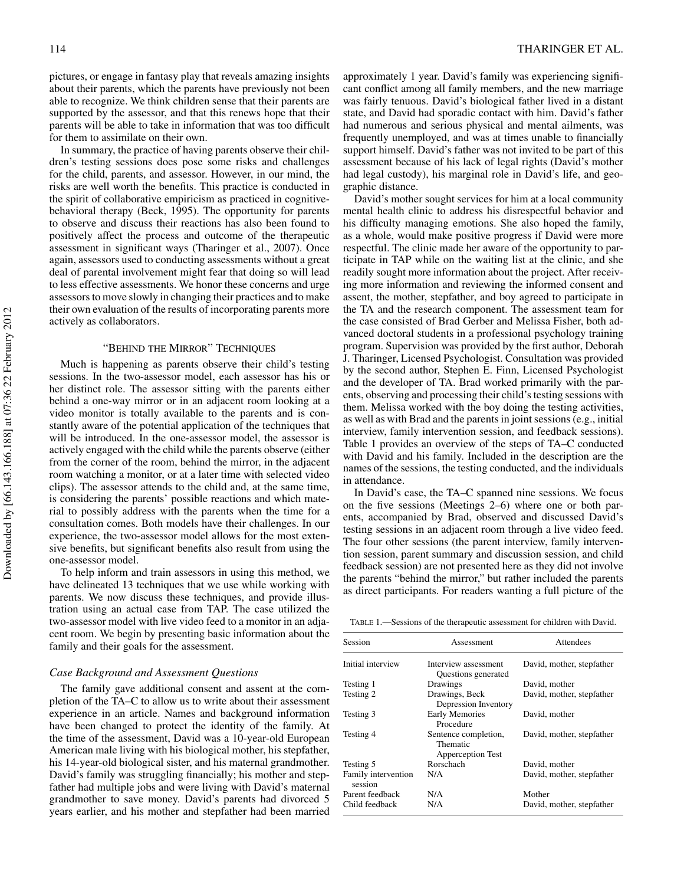In summary, the practice of having parents observe their children's testing sessions does pose some risks and challenges for the child, parents, and assessor. However, in our mind, the risks are well worth the benefits. This practice is conducted in the spirit of collaborative empiricism as practiced in cognitivebehavioral therapy (Beck, 1995). The opportunity for parents to observe and discuss their reactions has also been found to positively affect the process and outcome of the therapeutic assessment in significant ways (Tharinger et al., 2007). Once again, assessors used to conducting assessments without a great deal of parental involvement might fear that doing so will lead to less effective assessments. We honor these concerns and urge assessors to move slowly in changing their practices and to make their own evaluation of the results of incorporating parents more actively as collaborators.

#### "BEHIND THE MIRROR" TECHNIQUES

Much is happening as parents observe their child's testing sessions. In the two-assessor model, each assessor has his or her distinct role. The assessor sitting with the parents either behind a one-way mirror or in an adjacent room looking at a video monitor is totally available to the parents and is constantly aware of the potential application of the techniques that will be introduced. In the one-assessor model, the assessor is actively engaged with the child while the parents observe (either from the corner of the room, behind the mirror, in the adjacent room watching a monitor, or at a later time with selected video clips). The assessor attends to the child and, at the same time, is considering the parents' possible reactions and which material to possibly address with the parents when the time for a consultation comes. Both models have their challenges. In our experience, the two-assessor model allows for the most extensive benefits, but significant benefits also result from using the one-assessor model.

To help inform and train assessors in using this method, we have delineated 13 techniques that we use while working with parents. We now discuss these techniques, and provide illustration using an actual case from TAP. The case utilized the two-assessor model with live video feed to a monitor in an adjacent room. We begin by presenting basic information about the family and their goals for the assessment.

# *Case Background and Assessment Questions*

The family gave additional consent and assent at the completion of the TA–C to allow us to write about their assessment experience in an article. Names and background information have been changed to protect the identity of the family. At the time of the assessment, David was a 10-year-old European American male living with his biological mother, his stepfather, his 14-year-old biological sister, and his maternal grandmother. David's family was struggling financially; his mother and stepfather had multiple jobs and were living with David's maternal grandmother to save money. David's parents had divorced 5 years earlier, and his mother and stepfather had been married approximately 1 year. David's family was experiencing significant conflict among all family members, and the new marriage was fairly tenuous. David's biological father lived in a distant state, and David had sporadic contact with him. David's father had numerous and serious physical and mental ailments, was frequently unemployed, and was at times unable to financially support himself. David's father was not invited to be part of this assessment because of his lack of legal rights (David's mother had legal custody), his marginal role in David's life, and geographic distance.

David's mother sought services for him at a local community mental health clinic to address his disrespectful behavior and his difficulty managing emotions. She also hoped the family, as a whole, would make positive progress if David were more respectful. The clinic made her aware of the opportunity to participate in TAP while on the waiting list at the clinic, and she readily sought more information about the project. After receiving more information and reviewing the informed consent and assent, the mother, stepfather, and boy agreed to participate in the TA and the research component. The assessment team for the case consisted of Brad Gerber and Melissa Fisher, both advanced doctoral students in a professional psychology training program. Supervision was provided by the first author, Deborah J. Tharinger, Licensed Psychologist. Consultation was provided by the second author, Stephen E. Finn, Licensed Psychologist and the developer of TA. Brad worked primarily with the parents, observing and processing their child's testing sessions with them. Melissa worked with the boy doing the testing activities, as well as with Brad and the parents in joint sessions (e.g., initial interview, family intervention session, and feedback sessions). Table 1 provides an overview of the steps of TA–C conducted with David and his family. Included in the description are the names of the sessions, the testing conducted, and the individuals in attendance.

In David's case, the TA–C spanned nine sessions. We focus on the five sessions (Meetings 2–6) where one or both parents, accompanied by Brad, observed and discussed David's testing sessions in an adjacent room through a live video feed. The four other sessions (the parent interview, family intervention session, parent summary and discussion session, and child feedback session) are not presented here as they did not involve the parents "behind the mirror," but rather included the parents as direct participants. For readers wanting a full picture of the

TABLE 1.—Sessions of the therapeutic assessment for children with David.

| Session                        | Assessment                                            | Attendees                 |
|--------------------------------|-------------------------------------------------------|---------------------------|
| Initial interview              | Interview assessment<br>Questions generated           | David, mother, stepfather |
| Testing 1                      | Drawings                                              | David, mother             |
| Testing 2                      | Drawings, Beck<br>Depression Inventory                | David, mother, stepfather |
| Testing 3                      | <b>Early Memories</b><br>Procedure                    | David, mother             |
| Testing 4                      | Sentence completion,<br>Thematic<br>Apperception Test | David, mother, stepfather |
| Testing 5                      | Rorschach                                             | David, mother             |
| Family intervention<br>session | N/A                                                   | David, mother, stepfather |
| Parent feedback                | N/A                                                   | Mother                    |
| Child feedback                 | N/A                                                   | David, mother, stepfather |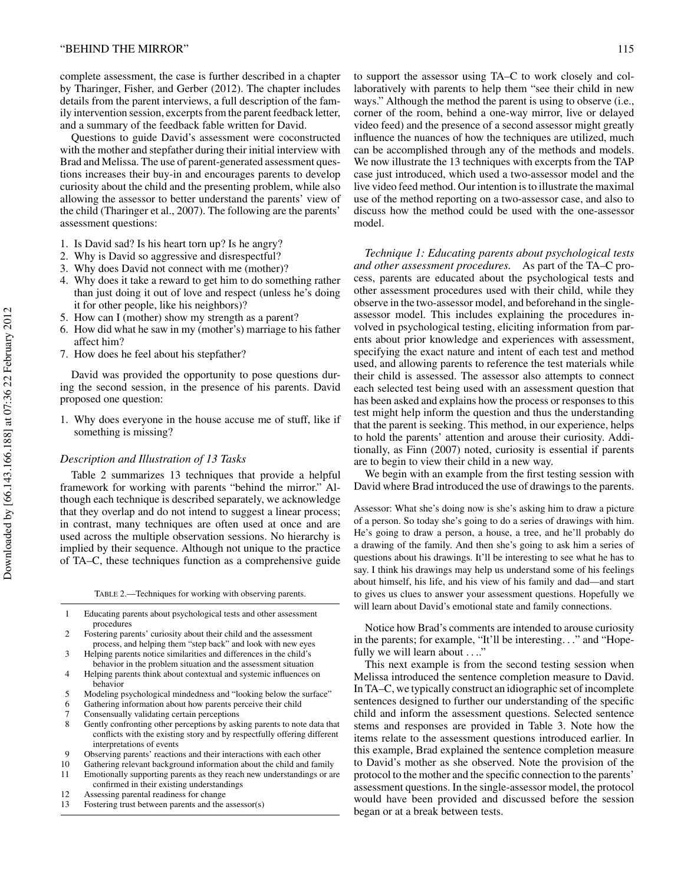complete assessment, the case is further described in a chapter by Tharinger, Fisher, and Gerber (2012). The chapter includes details from the parent interviews, a full description of the family intervention session, excerpts from the parent feedback letter, and a summary of the feedback fable written for David.

Questions to guide David's assessment were coconstructed with the mother and stepfather during their initial interview with Brad and Melissa. The use of parent-generated assessment questions increases their buy-in and encourages parents to develop curiosity about the child and the presenting problem, while also allowing the assessor to better understand the parents' view of the child (Tharinger et al., 2007). The following are the parents' assessment questions:

- 1. Is David sad? Is his heart torn up? Is he angry?
- 2. Why is David so aggressive and disrespectful?
- 3. Why does David not connect with me (mother)?
- 4. Why does it take a reward to get him to do something rather than just doing it out of love and respect (unless he's doing it for other people, like his neighbors)?
- 5. How can I (mother) show my strength as a parent?
- How did what he saw in my (mother's) marriage to his father affect him?
- 7. How does he feel about his stepfather?

David was provided the opportunity to pose questions during the second session, in the presence of his parents. David proposed one question:

1. Why does everyone in the house accuse me of stuff, like if something is missing?

# *Description and Illustration of 13 Tasks*

Table 2 summarizes 13 techniques that provide a helpful framework for working with parents "behind the mirror." Although each technique is described separately, we acknowledge that they overlap and do not intend to suggest a linear process; in contrast, many techniques are often used at once and are used across the multiple observation sessions. No hierarchy is implied by their sequence. Although not unique to the practice of TA–C, these techniques function as a comprehensive guide

TABLE 2.—Techniques for working with observing parents.

- 1 Educating parents about psychological tests and other assessment procedures
- 2 Fostering parents' curiosity about their child and the assessment process, and helping them "step back" and look with new eyes
- 3 Helping parents notice similarities and differences in the child's behavior in the problem situation and the assessment situation
- 4 Helping parents think about contextual and systemic influences on behavior
- 5 Modeling psychological mindedness and "looking below the surface"
- 6 Gathering information about how parents perceive their child
- 7 Consensually validating certain perceptions
- 8 Gently confronting other perceptions by asking parents to note data that conflicts with the existing story and by respectfully offering different interpretations of events
- 9 Observing parents' reactions and their interactions with each other
- 10 Gathering relevant background information about the child and family 11 Emotionally supporting parents as they reach new understandings or are
- confirmed in their existing understandings
- 12 Assessing parental readiness for change
- 13 Fostering trust between parents and the assessor(s)

to support the assessor using TA–C to work closely and collaboratively with parents to help them "see their child in new ways." Although the method the parent is using to observe (i.e., corner of the room, behind a one-way mirror, live or delayed video feed) and the presence of a second assessor might greatly influence the nuances of how the techniques are utilized, much can be accomplished through any of the methods and models. We now illustrate the 13 techniques with excerpts from the TAP case just introduced, which used a two-assessor model and the live video feed method. Our intention is to illustrate the maximal use of the method reporting on a two-assessor case, and also to discuss how the method could be used with the one-assessor model.

*Technique 1: Educating parents about psychological tests and other assessment procedures.* As part of the TA–C process, parents are educated about the psychological tests and other assessment procedures used with their child, while they observe in the two-assessor model, and beforehand in the singleassessor model. This includes explaining the procedures involved in psychological testing, eliciting information from parents about prior knowledge and experiences with assessment, specifying the exact nature and intent of each test and method used, and allowing parents to reference the test materials while their child is assessed. The assessor also attempts to connect each selected test being used with an assessment question that has been asked and explains how the process or responses to this test might help inform the question and thus the understanding that the parent is seeking. This method, in our experience, helps to hold the parents' attention and arouse their curiosity. Additionally, as Finn (2007) noted, curiosity is essential if parents are to begin to view their child in a new way.

We begin with an example from the first testing session with David where Brad introduced the use of drawings to the parents.

Assessor: What she's doing now is she's asking him to draw a picture of a person. So today she's going to do a series of drawings with him. He's going to draw a person, a house, a tree, and he'll probably do a drawing of the family. And then she's going to ask him a series of questions about his drawings. It'll be interesting to see what he has to say. I think his drawings may help us understand some of his feelings about himself, his life, and his view of his family and dad—and start to gives us clues to answer your assessment questions. Hopefully we will learn about David's emotional state and family connections.

Notice how Brad's comments are intended to arouse curiosity in the parents; for example, "It'll be interesting*...*" and "Hopefully we will learn about *...*."

This next example is from the second testing session when Melissa introduced the sentence completion measure to David. In TA–C, we typically construct an idiographic set of incomplete sentences designed to further our understanding of the specific child and inform the assessment questions. Selected sentence stems and responses are provided in Table 3. Note how the items relate to the assessment questions introduced earlier. In this example, Brad explained the sentence completion measure to David's mother as she observed. Note the provision of the protocol to the mother and the specific connection to the parents' assessment questions. In the single-assessor model, the protocol would have been provided and discussed before the session began or at a break between tests.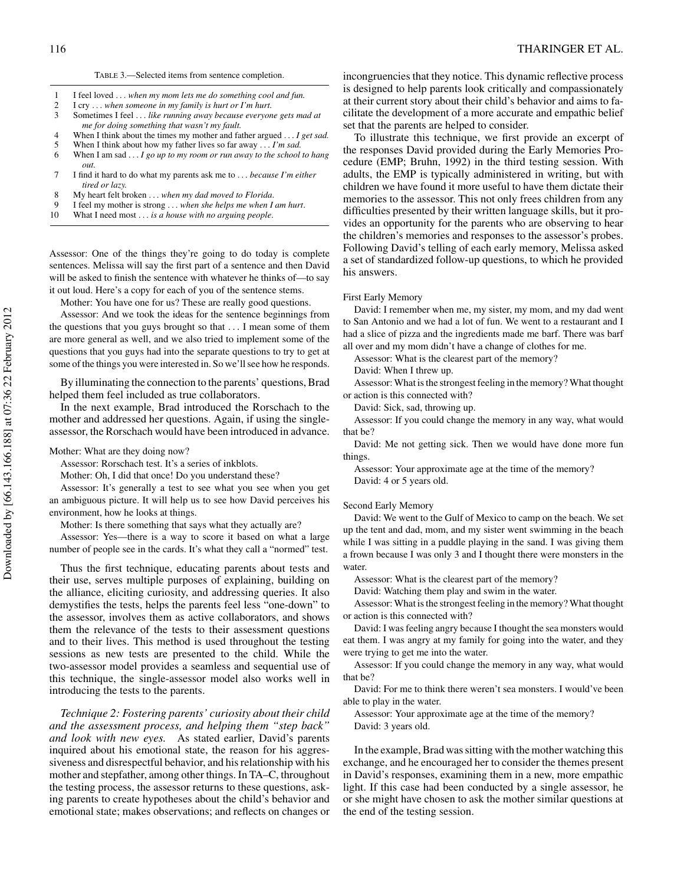#### TABLE 3.—Selected items from sentence completion.

- 1 I feel loved *... when my mom lets me do something cool and fun.*
- 2 I cry *... when someone in my family is hurt or I'm hurt.* 3 Sometimes I feel *... like running away because everyone gets mad at me for doing something that wasn't my fault.*
- 
- 4 When I think about the times my mother and father argued ... *I get sad.*<br>5 When I think about how my father lives so far away ... *I'm sad.* 5 When I think about how my father lives so far away *... I'm sad.*
- 6 When I am sad *... I go up to my room or run away to the school to hang out.*
- 7 I find it hard to do what my parents ask me to *... because I'm either tired or lazy.*
- 8 My heart felt broken *... when my dad moved to Florida*.
- 9 I feel my mother is strong *... when she helps me when I am hurt*.
- What I need most . . . *is a house with no arguing people*.

Assessor: One of the things they're going to do today is complete sentences. Melissa will say the first part of a sentence and then David will be asked to finish the sentence with whatever he thinks of—to say it out loud. Here's a copy for each of you of the sentence stems.

Mother: You have one for us? These are really good questions.

Assessor: And we took the ideas for the sentence beginnings from the questions that you guys brought so that *...* I mean some of them are more general as well, and we also tried to implement some of the questions that you guys had into the separate questions to try to get at some of the things you were interested in. So we'll see how he responds.

By illuminating the connection to the parents' questions, Brad helped them feel included as true collaborators.

In the next example, Brad introduced the Rorschach to the mother and addressed her questions. Again, if using the singleassessor, the Rorschach would have been introduced in advance.

#### Mother: What are they doing now?

Assessor: Rorschach test. It's a series of inkblots.

Mother: Oh, I did that once! Do you understand these?

Assessor: It's generally a test to see what you see when you get an ambiguous picture. It will help us to see how David perceives his environment, how he looks at things.

Mother: Is there something that says what they actually are?

Assessor: Yes—there is a way to score it based on what a large number of people see in the cards. It's what they call a "normed" test.

Thus the first technique, educating parents about tests and their use, serves multiple purposes of explaining, building on the alliance, eliciting curiosity, and addressing queries. It also demystifies the tests, helps the parents feel less "one-down" to the assessor, involves them as active collaborators, and shows them the relevance of the tests to their assessment questions and to their lives. This method is used throughout the testing sessions as new tests are presented to the child. While the two-assessor model provides a seamless and sequential use of this technique, the single-assessor model also works well in introducing the tests to the parents.

*Technique 2: Fostering parents' curiosity about their child and the assessment process, and helping them "step back" and look with new eyes.* As stated earlier, David's parents inquired about his emotional state, the reason for his aggressiveness and disrespectful behavior, and his relationship with his mother and stepfather, among other things. In TA–C, throughout the testing process, the assessor returns to these questions, asking parents to create hypotheses about the child's behavior and emotional state; makes observations; and reflects on changes or incongruencies that they notice. This dynamic reflective process is designed to help parents look critically and compassionately at their current story about their child's behavior and aims to facilitate the development of a more accurate and empathic belief set that the parents are helped to consider.

To illustrate this technique, we first provide an excerpt of the responses David provided during the Early Memories Procedure (EMP; Bruhn, 1992) in the third testing session. With adults, the EMP is typically administered in writing, but with children we have found it more useful to have them dictate their memories to the assessor. This not only frees children from any difficulties presented by their written language skills, but it provides an opportunity for the parents who are observing to hear the children's memories and responses to the assessor's probes. Following David's telling of each early memory, Melissa asked a set of standardized follow-up questions, to which he provided his answers.

#### First Early Memory

David: I remember when me, my sister, my mom, and my dad went to San Antonio and we had a lot of fun. We went to a restaurant and I had a slice of pizza and the ingredients made me barf. There was barf all over and my mom didn't have a change of clothes for me.

Assessor: What is the clearest part of the memory?

David: When I threw up.

Assessor: What is the strongest feeling in the memory? What thought or action is this connected with?

David: Sick, sad, throwing up.

Assessor: If you could change the memory in any way, what would that be?

David: Me not getting sick. Then we would have done more fun things.

Assessor: Your approximate age at the time of the memory? David: 4 or 5 years old.

#### Second Early Memory

David: We went to the Gulf of Mexico to camp on the beach. We set up the tent and dad, mom, and my sister went swimming in the beach while I was sitting in a puddle playing in the sand. I was giving them a frown because I was only 3 and I thought there were monsters in the water.

Assessor: What is the clearest part of the memory?

David: Watching them play and swim in the water.

Assessor: What is the strongest feeling in the memory? What thought or action is this connected with?

David: I was feeling angry because I thought the sea monsters would eat them. I was angry at my family for going into the water, and they were trying to get me into the water.

Assessor: If you could change the memory in any way, what would that be?

David: For me to think there weren't sea monsters. I would've been able to play in the water.

Assessor: Your approximate age at the time of the memory? David: 3 years old.

In the example, Brad was sitting with the mother watching this exchange, and he encouraged her to consider the themes present in David's responses, examining them in a new, more empathic light. If this case had been conducted by a single assessor, he or she might have chosen to ask the mother similar questions at the end of the testing session.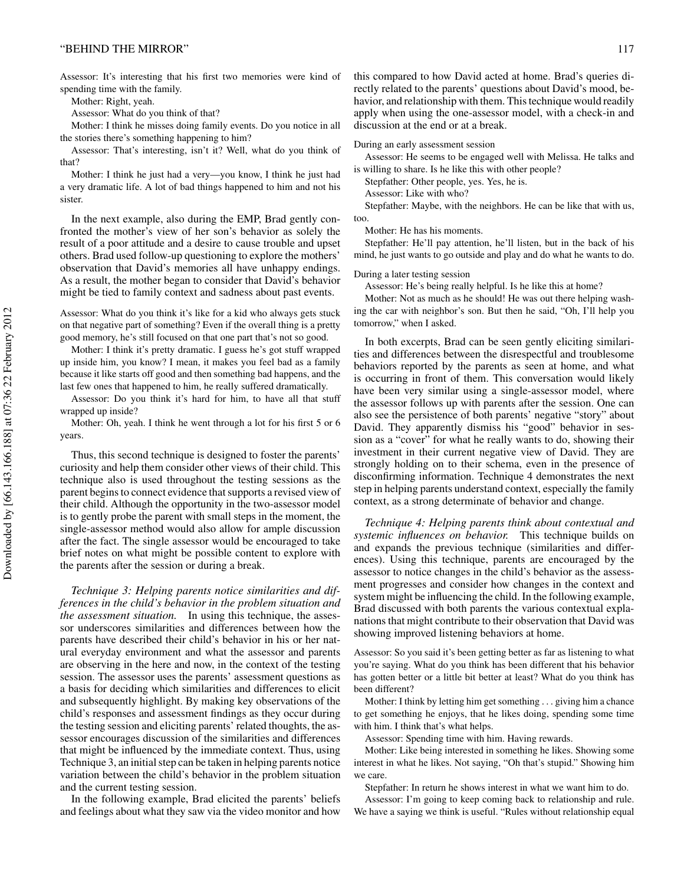Assessor: It's interesting that his first two memories were kind of spending time with the family.

Mother: Right, yeah.

Assessor: What do you think of that?

Mother: I think he misses doing family events. Do you notice in all the stories there's something happening to him?

Assessor: That's interesting, isn't it? Well, what do you think of that?

Mother: I think he just had a very—you know, I think he just had a very dramatic life. A lot of bad things happened to him and not his sister.

In the next example, also during the EMP, Brad gently confronted the mother's view of her son's behavior as solely the result of a poor attitude and a desire to cause trouble and upset others. Brad used follow-up questioning to explore the mothers' observation that David's memories all have unhappy endings. As a result, the mother began to consider that David's behavior might be tied to family context and sadness about past events.

Assessor: What do you think it's like for a kid who always gets stuck on that negative part of something? Even if the overall thing is a pretty good memory, he's still focused on that one part that's not so good.

Mother: I think it's pretty dramatic. I guess he's got stuff wrapped up inside him, you know? I mean, it makes you feel bad as a family because it like starts off good and then something bad happens, and the last few ones that happened to him, he really suffered dramatically.

Assessor: Do you think it's hard for him, to have all that stuff wrapped up inside?

Mother: Oh, yeah. I think he went through a lot for his first 5 or 6 years.

Thus, this second technique is designed to foster the parents' curiosity and help them consider other views of their child. This technique also is used throughout the testing sessions as the parent begins to connect evidence that supports a revised view of their child. Although the opportunity in the two-assessor model is to gently probe the parent with small steps in the moment, the single-assessor method would also allow for ample discussion after the fact. The single assessor would be encouraged to take brief notes on what might be possible content to explore with the parents after the session or during a break.

*Technique 3: Helping parents notice similarities and differences in the child's behavior in the problem situation and the assessment situation.* In using this technique, the assessor underscores similarities and differences between how the parents have described their child's behavior in his or her natural everyday environment and what the assessor and parents are observing in the here and now, in the context of the testing session. The assessor uses the parents' assessment questions as a basis for deciding which similarities and differences to elicit and subsequently highlight. By making key observations of the child's responses and assessment findings as they occur during the testing session and eliciting parents' related thoughts, the assessor encourages discussion of the similarities and differences that might be influenced by the immediate context. Thus, using Technique 3, an initial step can be taken in helping parents notice variation between the child's behavior in the problem situation and the current testing session.

In the following example, Brad elicited the parents' beliefs and feelings about what they saw via the video monitor and how

this compared to how David acted at home. Brad's queries directly related to the parents' questions about David's mood, behavior, and relationship with them. This technique would readily apply when using the one-assessor model, with a check-in and discussion at the end or at a break.

During an early assessment session

Assessor: He seems to be engaged well with Melissa. He talks and is willing to share. Is he like this with other people?

Stepfather: Other people, yes. Yes, he is.

Assessor: Like with who?

Stepfather: Maybe, with the neighbors. He can be like that with us, too.

Mother: He has his moments.

Stepfather: He'll pay attention, he'll listen, but in the back of his mind, he just wants to go outside and play and do what he wants to do.

#### During a later testing session

Assessor: He's being really helpful. Is he like this at home?

Mother: Not as much as he should! He was out there helping washing the car with neighbor's son. But then he said, "Oh, I'll help you tomorrow," when I asked.

In both excerpts, Brad can be seen gently eliciting similarities and differences between the disrespectful and troublesome behaviors reported by the parents as seen at home, and what is occurring in front of them. This conversation would likely have been very similar using a single-assessor model, where the assessor follows up with parents after the session. One can also see the persistence of both parents' negative "story" about David. They apparently dismiss his "good" behavior in session as a "cover" for what he really wants to do, showing their investment in their current negative view of David. They are strongly holding on to their schema, even in the presence of disconfirming information. Technique 4 demonstrates the next step in helping parents understand context, especially the family context, as a strong determinate of behavior and change.

*Technique 4: Helping parents think about contextual and systemic influences on behavior.* This technique builds on and expands the previous technique (similarities and differences). Using this technique, parents are encouraged by the assessor to notice changes in the child's behavior as the assessment progresses and consider how changes in the context and system might be influencing the child. In the following example, Brad discussed with both parents the various contextual explanations that might contribute to their observation that David was showing improved listening behaviors at home.

Assessor: So you said it's been getting better as far as listening to what you're saying. What do you think has been different that his behavior has gotten better or a little bit better at least? What do you think has been different?

Mother: I think by letting him get something *...* giving him a chance to get something he enjoys, that he likes doing, spending some time with him. I think that's what helps.

Assessor: Spending time with him. Having rewards.

Mother: Like being interested in something he likes. Showing some interest in what he likes. Not saying, "Oh that's stupid." Showing him we care.

Stepfather: In return he shows interest in what we want him to do.

Assessor: I'm going to keep coming back to relationship and rule. We have a saying we think is useful. "Rules without relationship equal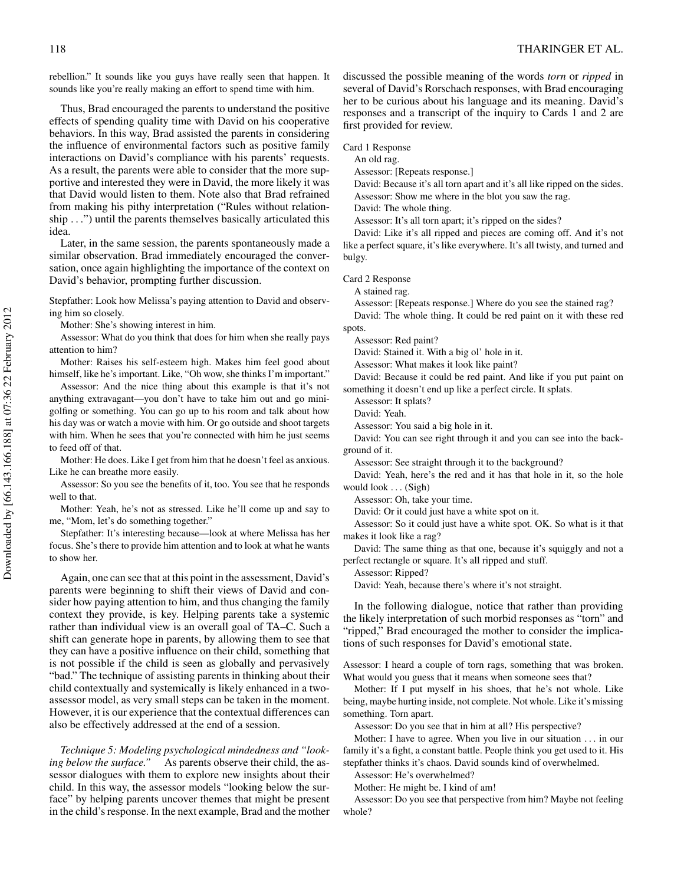rebellion." It sounds like you guys have really seen that happen. It sounds like you're really making an effort to spend time with him.

Thus, Brad encouraged the parents to understand the positive effects of spending quality time with David on his cooperative behaviors. In this way, Brad assisted the parents in considering the influence of environmental factors such as positive family interactions on David's compliance with his parents' requests. As a result, the parents were able to consider that the more supportive and interested they were in David, the more likely it was that David would listen to them. Note also that Brad refrained from making his pithy interpretation ("Rules without relationship *...*") until the parents themselves basically articulated this idea.

Later, in the same session, the parents spontaneously made a similar observation. Brad immediately encouraged the conversation, once again highlighting the importance of the context on David's behavior, prompting further discussion.

Stepfather: Look how Melissa's paying attention to David and observing him so closely.

Mother: She's showing interest in him.

Assessor: What do you think that does for him when she really pays attention to him?

Mother: Raises his self-esteem high. Makes him feel good about himself, like he's important. Like, "Oh wow, she thinks I'm important."

Assessor: And the nice thing about this example is that it's not anything extravagant—you don't have to take him out and go minigolfing or something. You can go up to his room and talk about how his day was or watch a movie with him. Or go outside and shoot targets with him. When he sees that you're connected with him he just seems to feed off of that.

Mother: He does. Like I get from him that he doesn't feel as anxious. Like he can breathe more easily.

Assessor: So you see the benefits of it, too. You see that he responds well to that.

Mother: Yeah, he's not as stressed. Like he'll come up and say to me, "Mom, let's do something together."

Stepfather: It's interesting because—look at where Melissa has her focus. She's there to provide him attention and to look at what he wants to show her.

Again, one can see that at this point in the assessment, David's parents were beginning to shift their views of David and consider how paying attention to him, and thus changing the family context they provide, is key. Helping parents take a systemic rather than individual view is an overall goal of TA–C. Such a shift can generate hope in parents, by allowing them to see that they can have a positive influence on their child, something that is not possible if the child is seen as globally and pervasively "bad." The technique of assisting parents in thinking about their child contextually and systemically is likely enhanced in a twoassessor model, as very small steps can be taken in the moment. However, it is our experience that the contextual differences can also be effectively addressed at the end of a session.

*Technique 5: Modeling psychological mindedness and "looking below the surface."* As parents observe their child, the assessor dialogues with them to explore new insights about their child. In this way, the assessor models "looking below the surface" by helping parents uncover themes that might be present in the child's response. In the next example, Brad and the mother discussed the possible meaning of the words *torn* or *ripped* in several of David's Rorschach responses, with Brad encouraging her to be curious about his language and its meaning. David's responses and a transcript of the inquiry to Cards 1 and 2 are first provided for review.

Card 1 Response

An old rag.

Assessor: [Repeats response.]

David: Because it's all torn apart and it's all like ripped on the sides. Assessor: Show me where in the blot you saw the rag.

David: The whole thing.

Assessor: It's all torn apart; it's ripped on the sides?

David: Like it's all ripped and pieces are coming off. And it's not like a perfect square, it's like everywhere. It's all twisty, and turned and bulgy.

Card 2 Response

A stained rag.

Assessor: [Repeats response.] Where do you see the stained rag? David: The whole thing. It could be red paint on it with these red

spots.

Assessor: Red paint?

David: Stained it. With a big ol' hole in it.

Assessor: What makes it look like paint?

David: Because it could be red paint. And like if you put paint on something it doesn't end up like a perfect circle. It splats.

Assessor: It splats?

David: Yeah.

Assessor: You said a big hole in it.

David: You can see right through it and you can see into the background of it.

Assessor: See straight through it to the background?

David: Yeah, here's the red and it has that hole in it, so the hole would look *...* (Sigh)

Assessor: Oh, take your time.

David: Or it could just have a white spot on it.

Assessor: So it could just have a white spot. OK. So what is it that makes it look like a rag?

David: The same thing as that one, because it's squiggly and not a perfect rectangle or square. It's all ripped and stuff.

Assessor: Ripped?

David: Yeah, because there's where it's not straight.

In the following dialogue, notice that rather than providing the likely interpretation of such morbid responses as "torn" and "ripped," Brad encouraged the mother to consider the implications of such responses for David's emotional state.

Assessor: I heard a couple of torn rags, something that was broken. What would you guess that it means when someone sees that?

Mother: If I put myself in his shoes, that he's not whole. Like being, maybe hurting inside, not complete. Not whole. Like it's missing something. Torn apart.

Assessor: Do you see that in him at all? His perspective?

Mother: I have to agree. When you live in our situation *...* in our family it's a fight, a constant battle. People think you get used to it. His stepfather thinks it's chaos. David sounds kind of overwhelmed.

Assessor: He's overwhelmed?

Mother: He might be. I kind of am!

Assessor: Do you see that perspective from him? Maybe not feeling whole?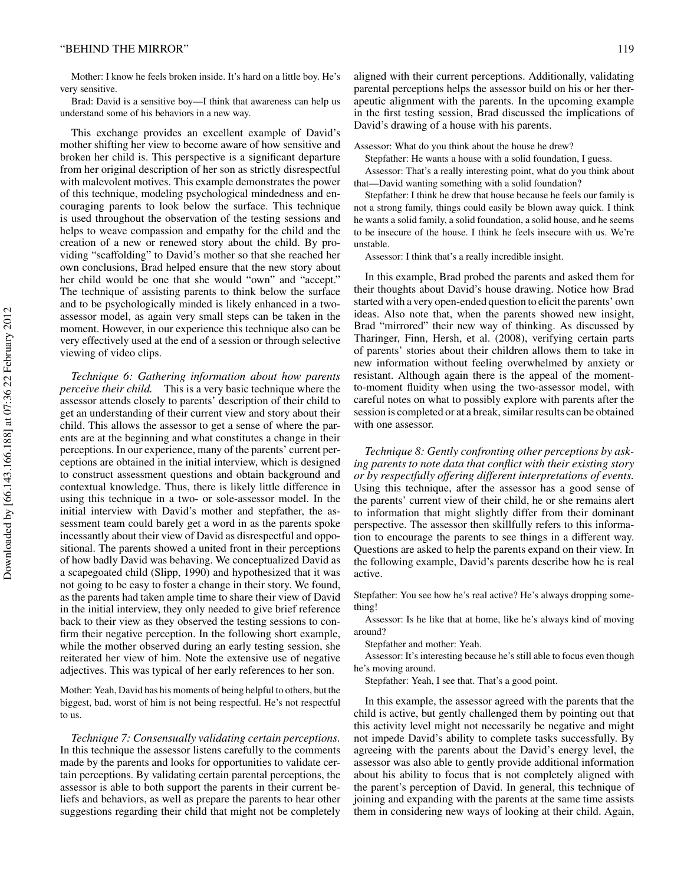Mother: I know he feels broken inside. It's hard on a little boy. He's very sensitive.

Brad: David is a sensitive boy—I think that awareness can help us understand some of his behaviors in a new way.

This exchange provides an excellent example of David's mother shifting her view to become aware of how sensitive and broken her child is. This perspective is a significant departure from her original description of her son as strictly disrespectful with malevolent motives. This example demonstrates the power of this technique, modeling psychological mindedness and encouraging parents to look below the surface. This technique is used throughout the observation of the testing sessions and helps to weave compassion and empathy for the child and the creation of a new or renewed story about the child. By providing "scaffolding" to David's mother so that she reached her own conclusions, Brad helped ensure that the new story about her child would be one that she would "own" and "accept." The technique of assisting parents to think below the surface and to be psychologically minded is likely enhanced in a twoassessor model, as again very small steps can be taken in the moment. However, in our experience this technique also can be very effectively used at the end of a session or through selective viewing of video clips.

*Technique 6: Gathering information about how parents perceive their child.* This is a very basic technique where the assessor attends closely to parents' description of their child to get an understanding of their current view and story about their child. This allows the assessor to get a sense of where the parents are at the beginning and what constitutes a change in their perceptions. In our experience, many of the parents' current perceptions are obtained in the initial interview, which is designed to construct assessment questions and obtain background and contextual knowledge. Thus, there is likely little difference in using this technique in a two- or sole-assessor model. In the initial interview with David's mother and stepfather, the assessment team could barely get a word in as the parents spoke incessantly about their view of David as disrespectful and oppositional. The parents showed a united front in their perceptions of how badly David was behaving. We conceptualized David as a scapegoated child (Slipp, 1990) and hypothesized that it was not going to be easy to foster a change in their story. We found, as the parents had taken ample time to share their view of David in the initial interview, they only needed to give brief reference back to their view as they observed the testing sessions to confirm their negative perception. In the following short example, while the mother observed during an early testing session, she reiterated her view of him. Note the extensive use of negative adjectives. This was typical of her early references to her son.

Mother: Yeah, David has his moments of being helpful to others, but the biggest, bad, worst of him is not being respectful. He's not respectful to us.

*Technique 7: Consensually validating certain perceptions.* In this technique the assessor listens carefully to the comments made by the parents and looks for opportunities to validate certain perceptions. By validating certain parental perceptions, the assessor is able to both support the parents in their current beliefs and behaviors, as well as prepare the parents to hear other suggestions regarding their child that might not be completely aligned with their current perceptions. Additionally, validating parental perceptions helps the assessor build on his or her therapeutic alignment with the parents. In the upcoming example in the first testing session, Brad discussed the implications of David's drawing of a house with his parents.

Assessor: What do you think about the house he drew?

Stepfather: He wants a house with a solid foundation, I guess.

Assessor: That's a really interesting point, what do you think about that—David wanting something with a solid foundation?

Stepfather: I think he drew that house because he feels our family is not a strong family, things could easily be blown away quick. I think he wants a solid family, a solid foundation, a solid house, and he seems to be insecure of the house. I think he feels insecure with us. We're unstable.

Assessor: I think that's a really incredible insight.

In this example, Brad probed the parents and asked them for their thoughts about David's house drawing. Notice how Brad started with a very open-ended question to elicit the parents' own ideas. Also note that, when the parents showed new insight, Brad "mirrored" their new way of thinking. As discussed by Tharinger, Finn, Hersh, et al. (2008), verifying certain parts of parents' stories about their children allows them to take in new information without feeling overwhelmed by anxiety or resistant. Although again there is the appeal of the momentto-moment fluidity when using the two-assessor model, with careful notes on what to possibly explore with parents after the session is completed or at a break, similar results can be obtained with one assessor.

*Technique 8: Gently confronting other perceptions by asking parents to note data that conflict with their existing story or by respectfully offering different interpretations of events.* Using this technique, after the assessor has a good sense of the parents' current view of their child, he or she remains alert to information that might slightly differ from their dominant perspective. The assessor then skillfully refers to this information to encourage the parents to see things in a different way. Questions are asked to help the parents expand on their view. In the following example, David's parents describe how he is real active.

Stepfather: You see how he's real active? He's always dropping something!

Assessor: Is he like that at home, like he's always kind of moving around?

Stepfather and mother: Yeah.

Assessor: It's interesting because he's still able to focus even though he's moving around.

Stepfather: Yeah, I see that. That's a good point.

In this example, the assessor agreed with the parents that the child is active, but gently challenged them by pointing out that this activity level might not necessarily be negative and might not impede David's ability to complete tasks successfully. By agreeing with the parents about the David's energy level, the assessor was also able to gently provide additional information about his ability to focus that is not completely aligned with the parent's perception of David. In general, this technique of joining and expanding with the parents at the same time assists them in considering new ways of looking at their child. Again,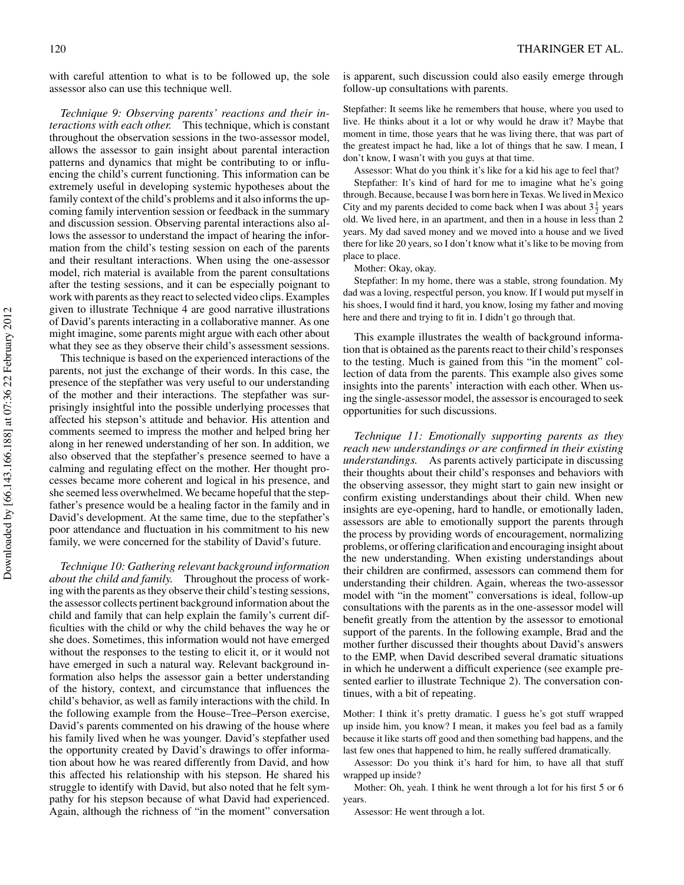with careful attention to what is to be followed up, the sole assessor also can use this technique well.

*Technique 9: Observing parents' reactions and their interactions with each other.* This technique, which is constant throughout the observation sessions in the two-assessor model, allows the assessor to gain insight about parental interaction patterns and dynamics that might be contributing to or influencing the child's current functioning. This information can be extremely useful in developing systemic hypotheses about the family context of the child's problems and it also informs the upcoming family intervention session or feedback in the summary and discussion session. Observing parental interactions also allows the assessor to understand the impact of hearing the information from the child's testing session on each of the parents and their resultant interactions. When using the one-assessor model, rich material is available from the parent consultations after the testing sessions, and it can be especially poignant to work with parents as they react to selected video clips. Examples given to illustrate Technique 4 are good narrative illustrations of David's parents interacting in a collaborative manner. As one might imagine, some parents might argue with each other about what they see as they observe their child's assessment sessions.

This technique is based on the experienced interactions of the parents, not just the exchange of their words. In this case, the presence of the stepfather was very useful to our understanding of the mother and their interactions. The stepfather was surprisingly insightful into the possible underlying processes that affected his stepson's attitude and behavior. His attention and comments seemed to impress the mother and helped bring her along in her renewed understanding of her son. In addition, we also observed that the stepfather's presence seemed to have a calming and regulating effect on the mother. Her thought processes became more coherent and logical in his presence, and she seemed less overwhelmed. We became hopeful that the stepfather's presence would be a healing factor in the family and in David's development. At the same time, due to the stepfather's poor attendance and fluctuation in his commitment to his new family, we were concerned for the stability of David's future.

*Technique 10: Gathering relevant background information about the child and family.* Throughout the process of working with the parents as they observe their child's testing sessions, the assessor collects pertinent background information about the child and family that can help explain the family's current difficulties with the child or why the child behaves the way he or she does. Sometimes, this information would not have emerged without the responses to the testing to elicit it, or it would not have emerged in such a natural way. Relevant background information also helps the assessor gain a better understanding of the history, context, and circumstance that influences the child's behavior, as well as family interactions with the child. In the following example from the House–Tree–Person exercise, David's parents commented on his drawing of the house where his family lived when he was younger. David's stepfather used the opportunity created by David's drawings to offer information about how he was reared differently from David, and how this affected his relationship with his stepson. He shared his struggle to identify with David, but also noted that he felt sympathy for his stepson because of what David had experienced. Again, although the richness of "in the moment" conversation

is apparent, such discussion could also easily emerge through follow-up consultations with parents.

Stepfather: It seems like he remembers that house, where you used to live. He thinks about it a lot or why would he draw it? Maybe that moment in time, those years that he was living there, that was part of the greatest impact he had, like a lot of things that he saw. I mean, I don't know, I wasn't with you guys at that time.

Assessor: What do you think it's like for a kid his age to feel that?

Stepfather: It's kind of hard for me to imagine what he's going through. Because, because I was born here in Texas. We lived in Mexico City and my parents decided to come back when I was about  $3\frac{1}{2}$  years old. We lived here, in an apartment, and then in a house in less than 2 years. My dad saved money and we moved into a house and we lived there for like 20 years, so I don't know what it's like to be moving from place to place.

Mother: Okay, okay.

Stepfather: In my home, there was a stable, strong foundation. My dad was a loving, respectful person, you know. If I would put myself in his shoes, I would find it hard, you know, losing my father and moving here and there and trying to fit in. I didn't go through that.

This example illustrates the wealth of background information that is obtained as the parents react to their child's responses to the testing. Much is gained from this "in the moment" collection of data from the parents. This example also gives some insights into the parents' interaction with each other. When using the single-assessor model, the assessor is encouraged to seek opportunities for such discussions.

*Technique 11: Emotionally supporting parents as they reach new understandings or are confirmed in their existing understandings.* As parents actively participate in discussing their thoughts about their child's responses and behaviors with the observing assessor, they might start to gain new insight or confirm existing understandings about their child. When new insights are eye-opening, hard to handle, or emotionally laden, assessors are able to emotionally support the parents through the process by providing words of encouragement, normalizing problems, or offering clarification and encouraging insight about the new understanding. When existing understandings about their children are confirmed, assessors can commend them for understanding their children. Again, whereas the two-assessor model with "in the moment" conversations is ideal, follow-up consultations with the parents as in the one-assessor model will benefit greatly from the attention by the assessor to emotional support of the parents. In the following example, Brad and the mother further discussed their thoughts about David's answers to the EMP, when David described several dramatic situations in which he underwent a difficult experience (see example presented earlier to illustrate Technique 2). The conversation continues, with a bit of repeating.

Mother: I think it's pretty dramatic. I guess he's got stuff wrapped up inside him, you know? I mean, it makes you feel bad as a family because it like starts off good and then something bad happens, and the last few ones that happened to him, he really suffered dramatically.

Assessor: Do you think it's hard for him, to have all that stuff wrapped up inside?

Mother: Oh, yeah. I think he went through a lot for his first 5 or 6 years.

Assessor: He went through a lot.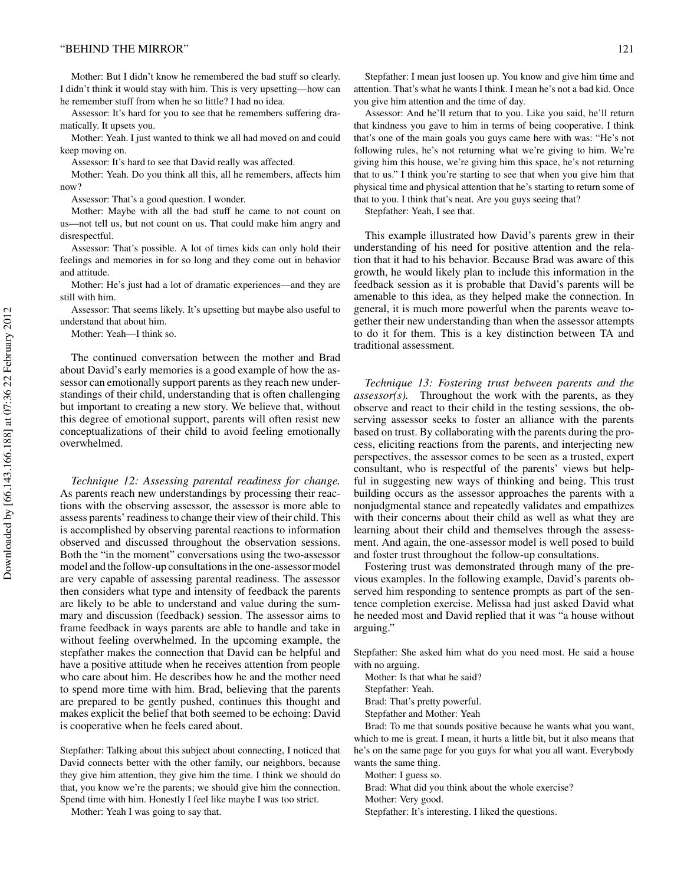Mother: But I didn't know he remembered the bad stuff so clearly. I didn't think it would stay with him. This is very upsetting—how can he remember stuff from when he so little? I had no idea.

Assessor: It's hard for you to see that he remembers suffering dramatically. It upsets you.

Mother: Yeah. I just wanted to think we all had moved on and could keep moving on.

Assessor: It's hard to see that David really was affected.

Mother: Yeah. Do you think all this, all he remembers, affects him now?

Assessor: That's a good question. I wonder.

Mother: Maybe with all the bad stuff he came to not count on us—not tell us, but not count on us. That could make him angry and disrespectful.

Assessor: That's possible. A lot of times kids can only hold their feelings and memories in for so long and they come out in behavior and attitude.

Mother: He's just had a lot of dramatic experiences—and they are still with him.

Assessor: That seems likely. It's upsetting but maybe also useful to understand that about him.

Mother: Yeah—I think so.

The continued conversation between the mother and Brad about David's early memories is a good example of how the assessor can emotionally support parents as they reach new understandings of their child, understanding that is often challenging but important to creating a new story. We believe that, without this degree of emotional support, parents will often resist new conceptualizations of their child to avoid feeling emotionally overwhelmed.

*Technique 12: Assessing parental readiness for change.* As parents reach new understandings by processing their reactions with the observing assessor, the assessor is more able to assess parents' readiness to change their view of their child. This is accomplished by observing parental reactions to information observed and discussed throughout the observation sessions. Both the "in the moment" conversations using the two-assessor model and the follow-up consultations in the one-assessor model are very capable of assessing parental readiness. The assessor then considers what type and intensity of feedback the parents are likely to be able to understand and value during the summary and discussion (feedback) session. The assessor aims to frame feedback in ways parents are able to handle and take in without feeling overwhelmed. In the upcoming example, the stepfather makes the connection that David can be helpful and have a positive attitude when he receives attention from people who care about him. He describes how he and the mother need to spend more time with him. Brad, believing that the parents are prepared to be gently pushed, continues this thought and makes explicit the belief that both seemed to be echoing: David is cooperative when he feels cared about.

Stepfather: Talking about this subject about connecting, I noticed that David connects better with the other family, our neighbors, because they give him attention, they give him the time. I think we should do that, you know we're the parents; we should give him the connection. Spend time with him. Honestly I feel like maybe I was too strict.

Mother: Yeah I was going to say that.

Stepfather: I mean just loosen up. You know and give him time and attention. That's what he wants I think. I mean he's not a bad kid. Once you give him attention and the time of day.

Assessor: And he'll return that to you. Like you said, he'll return that kindness you gave to him in terms of being cooperative. I think that's one of the main goals you guys came here with was: "He's not following rules, he's not returning what we're giving to him. We're giving him this house, we're giving him this space, he's not returning that to us." I think you're starting to see that when you give him that physical time and physical attention that he's starting to return some of that to you. I think that's neat. Are you guys seeing that?

Stepfather: Yeah, I see that.

This example illustrated how David's parents grew in their understanding of his need for positive attention and the relation that it had to his behavior. Because Brad was aware of this growth, he would likely plan to include this information in the feedback session as it is probable that David's parents will be amenable to this idea, as they helped make the connection. In general, it is much more powerful when the parents weave together their new understanding than when the assessor attempts to do it for them. This is a key distinction between TA and traditional assessment.

*Technique 13: Fostering trust between parents and the assessor(s).* Throughout the work with the parents, as they observe and react to their child in the testing sessions, the observing assessor seeks to foster an alliance with the parents based on trust. By collaborating with the parents during the process, eliciting reactions from the parents, and interjecting new perspectives, the assessor comes to be seen as a trusted, expert consultant, who is respectful of the parents' views but helpful in suggesting new ways of thinking and being. This trust building occurs as the assessor approaches the parents with a nonjudgmental stance and repeatedly validates and empathizes with their concerns about their child as well as what they are learning about their child and themselves through the assessment. And again, the one-assessor model is well posed to build and foster trust throughout the follow-up consultations.

Fostering trust was demonstrated through many of the previous examples. In the following example, David's parents observed him responding to sentence prompts as part of the sentence completion exercise. Melissa had just asked David what he needed most and David replied that it was "a house without arguing."

Stepfather: She asked him what do you need most. He said a house with no arguing.

Mother: Is that what he said?

Stepfather: Yeah.

Brad: That's pretty powerful.

Stepfather and Mother: Yeah

Brad: To me that sounds positive because he wants what you want, which to me is great. I mean, it hurts a little bit, but it also means that he's on the same page for you guys for what you all want. Everybody wants the same thing.

Mother: I guess so.

Brad: What did you think about the whole exercise?

Mother: Very good.

Stepfather: It's interesting. I liked the questions.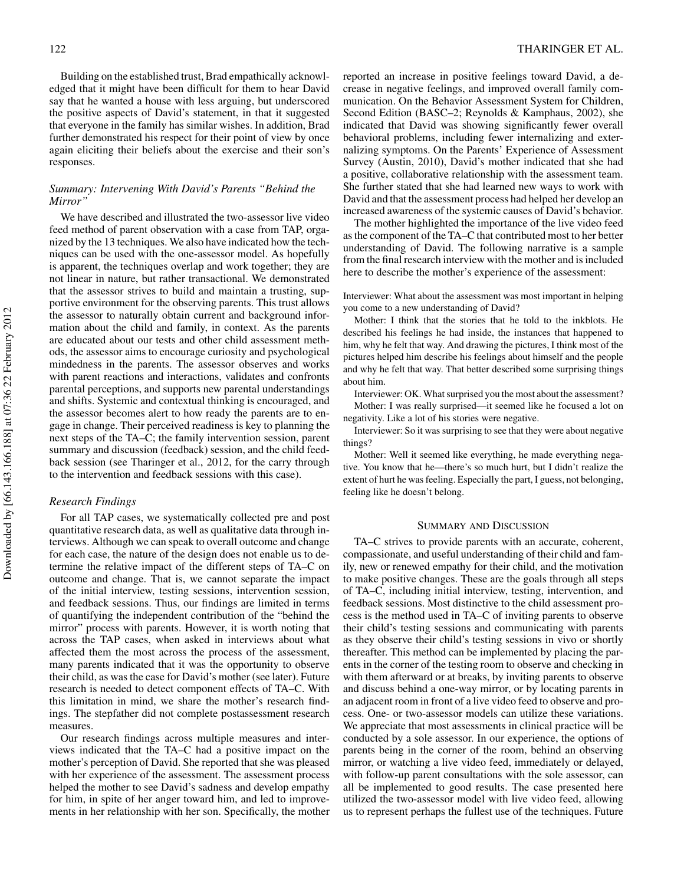Building on the established trust, Brad empathically acknowledged that it might have been difficult for them to hear David say that he wanted a house with less arguing, but underscored the positive aspects of David's statement, in that it suggested that everyone in the family has similar wishes. In addition, Brad further demonstrated his respect for their point of view by once again eliciting their beliefs about the exercise and their son's responses.

# *Summary: Intervening With David's Parents "Behind the Mirror"*

We have described and illustrated the two-assessor live video feed method of parent observation with a case from TAP, organized by the 13 techniques. We also have indicated how the techniques can be used with the one-assessor model. As hopefully is apparent, the techniques overlap and work together; they are not linear in nature, but rather transactional. We demonstrated that the assessor strives to build and maintain a trusting, supportive environment for the observing parents. This trust allows the assessor to naturally obtain current and background information about the child and family, in context. As the parents are educated about our tests and other child assessment methods, the assessor aims to encourage curiosity and psychological mindedness in the parents. The assessor observes and works with parent reactions and interactions, validates and confronts parental perceptions, and supports new parental understandings and shifts. Systemic and contextual thinking is encouraged, and the assessor becomes alert to how ready the parents are to engage in change. Their perceived readiness is key to planning the next steps of the TA–C; the family intervention session, parent summary and discussion (feedback) session, and the child feedback session (see Tharinger et al., 2012, for the carry through to the intervention and feedback sessions with this case).

# *Research Findings*

For all TAP cases, we systematically collected pre and post quantitative research data, as well as qualitative data through interviews. Although we can speak to overall outcome and change for each case, the nature of the design does not enable us to determine the relative impact of the different steps of TA–C on outcome and change. That is, we cannot separate the impact of the initial interview, testing sessions, intervention session, and feedback sessions. Thus, our findings are limited in terms of quantifying the independent contribution of the "behind the mirror" process with parents. However, it is worth noting that across the TAP cases, when asked in interviews about what affected them the most across the process of the assessment, many parents indicated that it was the opportunity to observe their child, as was the case for David's mother (see later). Future research is needed to detect component effects of TA–C. With this limitation in mind, we share the mother's research findings. The stepfather did not complete postassessment research measures.

Our research findings across multiple measures and interviews indicated that the TA–C had a positive impact on the mother's perception of David. She reported that she was pleased with her experience of the assessment. The assessment process helped the mother to see David's sadness and develop empathy for him, in spite of her anger toward him, and led to improvements in her relationship with her son. Specifically, the mother reported an increase in positive feelings toward David, a decrease in negative feelings, and improved overall family communication. On the Behavior Assessment System for Children, Second Edition (BASC–2; Reynolds & Kamphaus, 2002), she indicated that David was showing significantly fewer overall behavioral problems, including fewer internalizing and externalizing symptoms. On the Parents' Experience of Assessment Survey (Austin, 2010), David's mother indicated that she had a positive, collaborative relationship with the assessment team. She further stated that she had learned new ways to work with David and that the assessment process had helped her develop an increased awareness of the systemic causes of David's behavior.

The mother highlighted the importance of the live video feed as the component of the TA–C that contributed most to her better understanding of David. The following narrative is a sample from the final research interview with the mother and is included here to describe the mother's experience of the assessment:

Interviewer: What about the assessment was most important in helping you come to a new understanding of David?

Mother: I think that the stories that he told to the inkblots. He described his feelings he had inside, the instances that happened to him, why he felt that way. And drawing the pictures, I think most of the pictures helped him describe his feelings about himself and the people and why he felt that way. That better described some surprising things about him.

Interviewer: OK. What surprised you the most about the assessment? Mother: I was really surprised—it seemed like he focused a lot on negativity. Like a lot of his stories were negative.

Interviewer: So it was surprising to see that they were about negative things?

Mother: Well it seemed like everything, he made everything negative. You know that he—there's so much hurt, but I didn't realize the extent of hurt he was feeling. Especially the part, I guess, not belonging, feeling like he doesn't belong.

## SUMMARY AND DISCUSSION

TA–C strives to provide parents with an accurate, coherent, compassionate, and useful understanding of their child and family, new or renewed empathy for their child, and the motivation to make positive changes. These are the goals through all steps of TA–C, including initial interview, testing, intervention, and feedback sessions. Most distinctive to the child assessment process is the method used in TA–C of inviting parents to observe their child's testing sessions and communicating with parents as they observe their child's testing sessions in vivo or shortly thereafter. This method can be implemented by placing the parents in the corner of the testing room to observe and checking in with them afterward or at breaks, by inviting parents to observe and discuss behind a one-way mirror, or by locating parents in an adjacent room in front of a live video feed to observe and process. One- or two-assessor models can utilize these variations. We appreciate that most assessments in clinical practice will be conducted by a sole assessor. In our experience, the options of parents being in the corner of the room, behind an observing mirror, or watching a live video feed, immediately or delayed, with follow-up parent consultations with the sole assessor, can all be implemented to good results. The case presented here utilized the two-assessor model with live video feed, allowing us to represent perhaps the fullest use of the techniques. Future